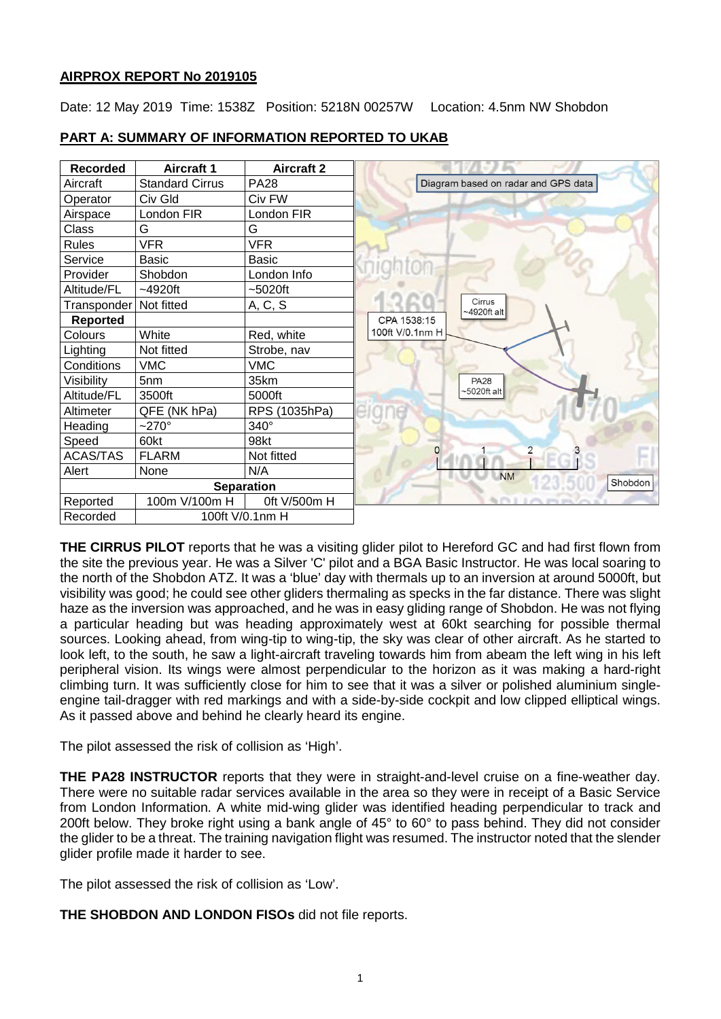## **AIRPROX REPORT No 2019105**

Date: 12 May 2019 Time: 1538Z Position: 5218N 00257W Location: 4.5nm NW Shobdon



# **PART A: SUMMARY OF INFORMATION REPORTED TO UKAB**

**THE CIRRUS PILOT** reports that he was a visiting glider pilot to Hereford GC and had first flown from the site the previous year. He was a Silver 'C' pilot and a BGA Basic Instructor. He was local soaring to the north of the Shobdon ATZ. It was a 'blue' day with thermals up to an inversion at around 5000ft, but visibility was good; he could see other gliders thermaling as specks in the far distance. There was slight haze as the inversion was approached, and he was in easy gliding range of Shobdon. He was not flying a particular heading but was heading approximately west at 60kt searching for possible thermal sources. Looking ahead, from wing-tip to wing-tip, the sky was clear of other aircraft. As he started to look left, to the south, he saw a light-aircraft traveling towards him from abeam the left wing in his left peripheral vision. Its wings were almost perpendicular to the horizon as it was making a hard-right climbing turn. It was sufficiently close for him to see that it was a silver or polished aluminium singleengine tail-dragger with red markings and with a side-by-side cockpit and low clipped elliptical wings. As it passed above and behind he clearly heard its engine.

The pilot assessed the risk of collision as 'High'.

**THE PA28 INSTRUCTOR** reports that they were in straight-and-level cruise on a fine-weather day. There were no suitable radar services available in the area so they were in receipt of a Basic Service from London Information. A white mid-wing glider was identified heading perpendicular to track and 200ft below. They broke right using a bank angle of 45° to 60° to pass behind. They did not consider the glider to be a threat. The training navigation flight was resumed. The instructor noted that the slender glider profile made it harder to see.

The pilot assessed the risk of collision as 'Low'.

**THE SHOBDON AND LONDON FISOs** did not file reports.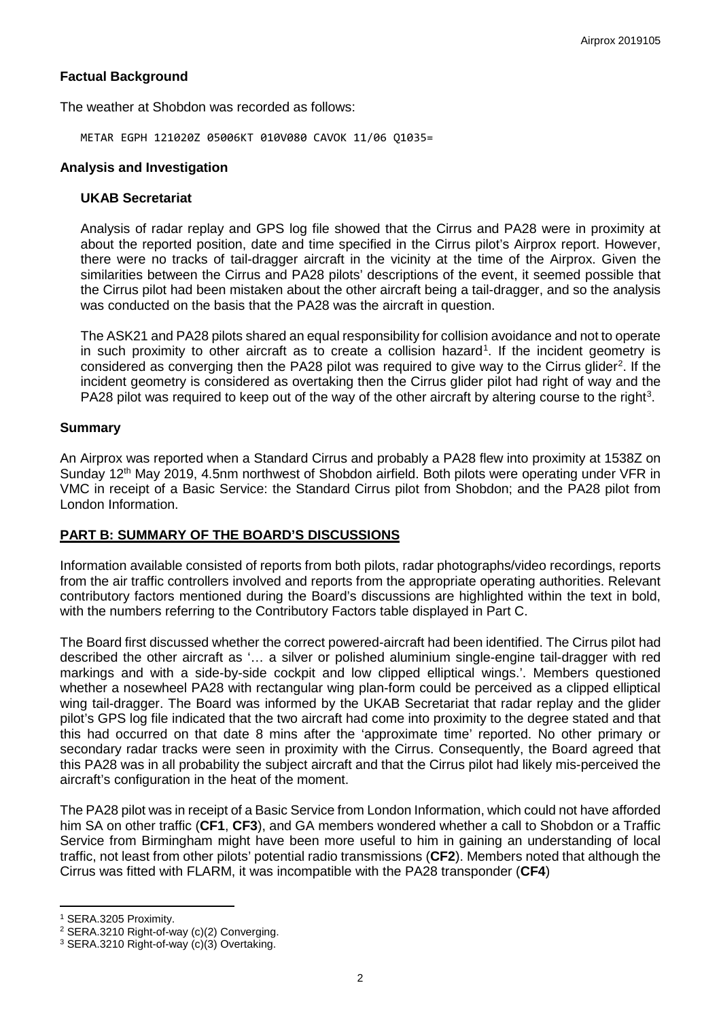## **Factual Background**

The weather at Shobdon was recorded as follows:

METAR EGPH 121020Z 05006KT 010V080 CAVOK 11/06 Q1035=

### **Analysis and Investigation**

#### **UKAB Secretariat**

Analysis of radar replay and GPS log file showed that the Cirrus and PA28 were in proximity at about the reported position, date and time specified in the Cirrus pilot's Airprox report. However, there were no tracks of tail-dragger aircraft in the vicinity at the time of the Airprox. Given the similarities between the Cirrus and PA28 pilots' descriptions of the event, it seemed possible that the Cirrus pilot had been mistaken about the other aircraft being a tail-dragger, and so the analysis was conducted on the basis that the PA28 was the aircraft in question.

The ASK21 and PA28 pilots shared an equal responsibility for collision avoidance and not to operate in such proximity to other aircraft as to create a collision hazard<sup>[1](#page-1-0)</sup>. If the incident geometry is considered as converging then the PA[2](#page-1-1)8 pilot was required to give way to the Cirrus glider<sup>2</sup>. If the incident geometry is considered as overtaking then the Cirrus glider pilot had right of way and the PA28 pilot was required to keep out of the way of the other aircraft by altering course to the right<sup>[3](#page-1-2)</sup>.

## **Summary**

An Airprox was reported when a Standard Cirrus and probably a PA28 flew into proximity at 1538Z on Sunday 12<sup>th</sup> May 2019, 4.5nm northwest of Shobdon airfield. Both pilots were operating under VFR in VMC in receipt of a Basic Service: the Standard Cirrus pilot from Shobdon; and the PA28 pilot from London Information.

## **PART B: SUMMARY OF THE BOARD'S DISCUSSIONS**

Information available consisted of reports from both pilots, radar photographs/video recordings, reports from the air traffic controllers involved and reports from the appropriate operating authorities. Relevant contributory factors mentioned during the Board's discussions are highlighted within the text in bold, with the numbers referring to the Contributory Factors table displayed in Part C.

The Board first discussed whether the correct powered-aircraft had been identified. The Cirrus pilot had described the other aircraft as '… a silver or polished aluminium single-engine tail-dragger with red markings and with a side-by-side cockpit and low clipped elliptical wings.'. Members questioned whether a nosewheel PA28 with rectangular wing plan-form could be perceived as a clipped elliptical wing tail-dragger. The Board was informed by the UKAB Secretariat that radar replay and the glider pilot's GPS log file indicated that the two aircraft had come into proximity to the degree stated and that this had occurred on that date 8 mins after the 'approximate time' reported. No other primary or secondary radar tracks were seen in proximity with the Cirrus. Consequently, the Board agreed that this PA28 was in all probability the subject aircraft and that the Cirrus pilot had likely mis-perceived the aircraft's configuration in the heat of the moment.

The PA28 pilot was in receipt of a Basic Service from London Information, which could not have afforded him SA on other traffic (**CF1**, **CF3**), and GA members wondered whether a call to Shobdon or a Traffic Service from Birmingham might have been more useful to him in gaining an understanding of local traffic, not least from other pilots' potential radio transmissions (**CF2**). Members noted that although the Cirrus was fitted with FLARM, it was incompatible with the PA28 transponder (**CF4**)

l

<span id="page-1-0"></span><sup>1</sup> SERA.3205 Proximity.

<span id="page-1-1"></span><sup>2</sup> SERA.3210 Right-of-way (c)(2) Converging.

<span id="page-1-2"></span><sup>3</sup> SERA.3210 Right-of-way (c)(3) Overtaking.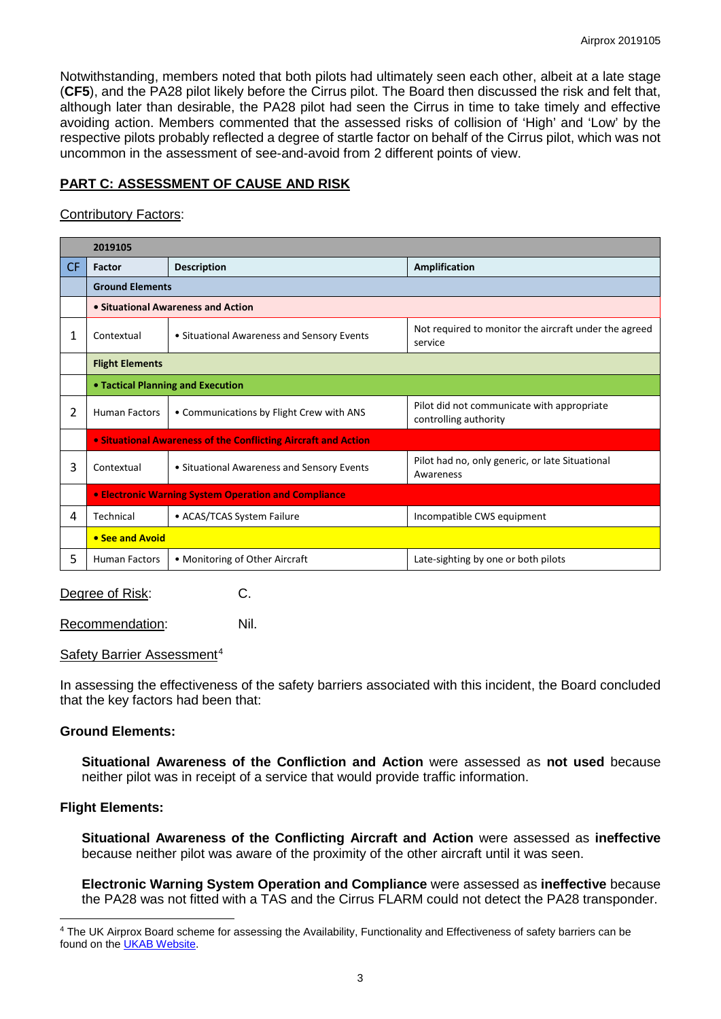Notwithstanding, members noted that both pilots had ultimately seen each other, albeit at a late stage (**CF5**), and the PA28 pilot likely before the Cirrus pilot. The Board then discussed the risk and felt that, although later than desirable, the PA28 pilot had seen the Cirrus in time to take timely and effective avoiding action. Members commented that the assessed risks of collision of 'High' and 'Low' by the respective pilots probably reflected a degree of startle factor on behalf of the Cirrus pilot, which was not uncommon in the assessment of see-and-avoid from 2 different points of view.

# **PART C: ASSESSMENT OF CAUSE AND RISK**

#### Contributory Factors:

|                | 2019105                                                               |                                            |                                                                     |  |  |  |  |  |  |  |
|----------------|-----------------------------------------------------------------------|--------------------------------------------|---------------------------------------------------------------------|--|--|--|--|--|--|--|
| CF.            | Factor                                                                | <b>Description</b>                         | <b>Amplification</b>                                                |  |  |  |  |  |  |  |
|                | <b>Ground Elements</b>                                                |                                            |                                                                     |  |  |  |  |  |  |  |
|                | • Situational Awareness and Action                                    |                                            |                                                                     |  |  |  |  |  |  |  |
| 1              | Contextual                                                            | • Situational Awareness and Sensory Events | Not required to monitor the aircraft under the agreed<br>service    |  |  |  |  |  |  |  |
|                | <b>Flight Elements</b>                                                |                                            |                                                                     |  |  |  |  |  |  |  |
|                | • Tactical Planning and Execution                                     |                                            |                                                                     |  |  |  |  |  |  |  |
| $\overline{2}$ | <b>Human Factors</b>                                                  | • Communications by Flight Crew with ANS   | Pilot did not communicate with appropriate<br>controlling authority |  |  |  |  |  |  |  |
|                | <b>• Situational Awareness of the Conflicting Aircraft and Action</b> |                                            |                                                                     |  |  |  |  |  |  |  |
| 3              | Contextual                                                            | • Situational Awareness and Sensory Events | Pilot had no, only generic, or late Situational<br>Awareness        |  |  |  |  |  |  |  |
|                | <b>• Electronic Warning System Operation and Compliance</b>           |                                            |                                                                     |  |  |  |  |  |  |  |
| 4              | Technical                                                             | • ACAS/TCAS System Failure                 | Incompatible CWS equipment                                          |  |  |  |  |  |  |  |
|                | • See and Avoid                                                       |                                            |                                                                     |  |  |  |  |  |  |  |
| 5.             | <b>Human Factors</b>                                                  | • Monitoring of Other Aircraft             | Late-sighting by one or both pilots                                 |  |  |  |  |  |  |  |

Degree of Risk: C.

Recommendation: Nil.

Safety Barrier Assessment<sup>[4](#page-2-0)</sup>

In assessing the effectiveness of the safety barriers associated with this incident, the Board concluded that the key factors had been that:

#### **Ground Elements:**

**Situational Awareness of the Confliction and Action** were assessed as **not used** because neither pilot was in receipt of a service that would provide traffic information.

#### **Flight Elements:**

 $\overline{\phantom{a}}$ 

**Situational Awareness of the Conflicting Aircraft and Action** were assessed as **ineffective** because neither pilot was aware of the proximity of the other aircraft until it was seen.

**Electronic Warning System Operation and Compliance** were assessed as **ineffective** because the PA28 was not fitted with a TAS and the Cirrus FLARM could not detect the PA28 transponder.

<span id="page-2-0"></span><sup>4</sup> The UK Airprox Board scheme for assessing the Availability, Functionality and Effectiveness of safety barriers can be found on the [UKAB Website.](http://www.airproxboard.org.uk/Learn-more/Airprox-Barrier-Assessment/)